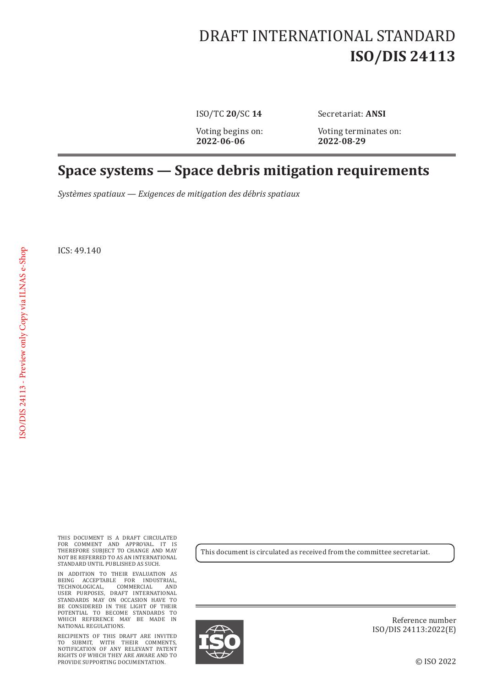## DRAFT INTERNATIONAL STANDARD **ISO/DIS 24113**

**2022**-**06**-**06 2022**-**08**-**29**

ISO/TC **20**/SC **14** Secretariat: **ANSI**

Voting begins on: Voting terminates on:<br>2022-06-06 2022-08-29

## **Space systems — Space debris mitigation requirements**

*Systèmes spatiaux — Exigences de mitigation des débris spatiaux*

ICS: 49.140

THIS DOCUMENT IS A DRAFT CIRCULATED FOR COMMENT AND APPROVAL. IT IS THEREFORE SUBJECT TO CHANGE AND MAY NOT BE REFERRED TO AS AN INTERNATIONAL STANDARD UNTIL PUBLISHED AS SUCH.

IN ADDITION TO THEIR EVALUATION AS BEING ACCEPTABLE FOR INDUSTRIAL, TECHNOLOGICAL, COMMERCIAL AND USER PURPOSES, DRAFT INTERNATIONAL STANDARDS MAY ON OCCASION HAVE TO BE CONSIDERED IN THE LIGHT OF THEIR POTENTIAL TO BECOME STANDARDS TO WHICH REFERENCE MAY BE MADE IN NATIONAL REGULATIONS.

RECIPIENTS OF THIS DRAFT ARE INVITED TO SUBMIT, WITH THEIR COMMENTS, NOTIFICATION OF ANY RELEVANT PATENT RIGHTS OF WHICH THEY ARE AWARE AND TO PROVIDE SUPPORTING DOCUMENTATION.

This document is circulated as received from the committee secretariat.



Reference number ISO/DIS 24113:2022(E)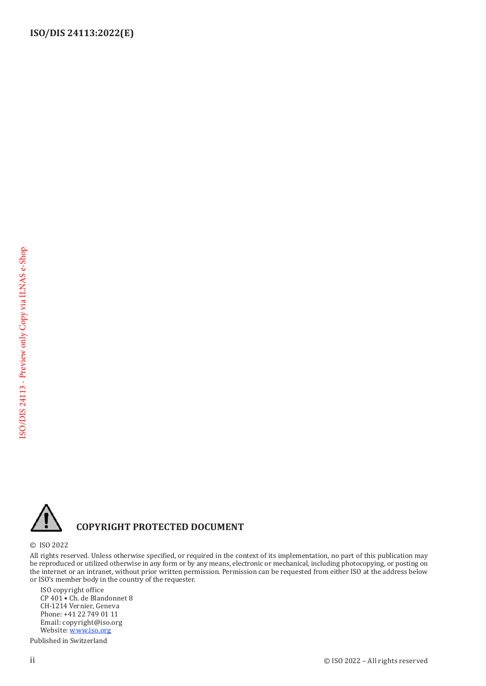

## **COPYRIGHT PROTECTED DOCUMENT**

© ISO 2022

All rights reserved. Unless otherwise specified, or required in the context of its implementation, no part of this publication may be reproduced or utilized otherwise in any form or by any means, electronic or mechanical, including photocopying, or posting on the internet or an intranet, without prior written permission. Permission can be requested from either ISO at the address below or ISO's member body in the country of the requester.

ISO copyright office CP 401 • Ch. de Blandonnet 8 CH-1214 Vernier, Geneva Phone: +41 22 749 01 11 Email: copyright@iso.org Website: [www.iso.org](https://www.iso.org)

Published in Switzerland